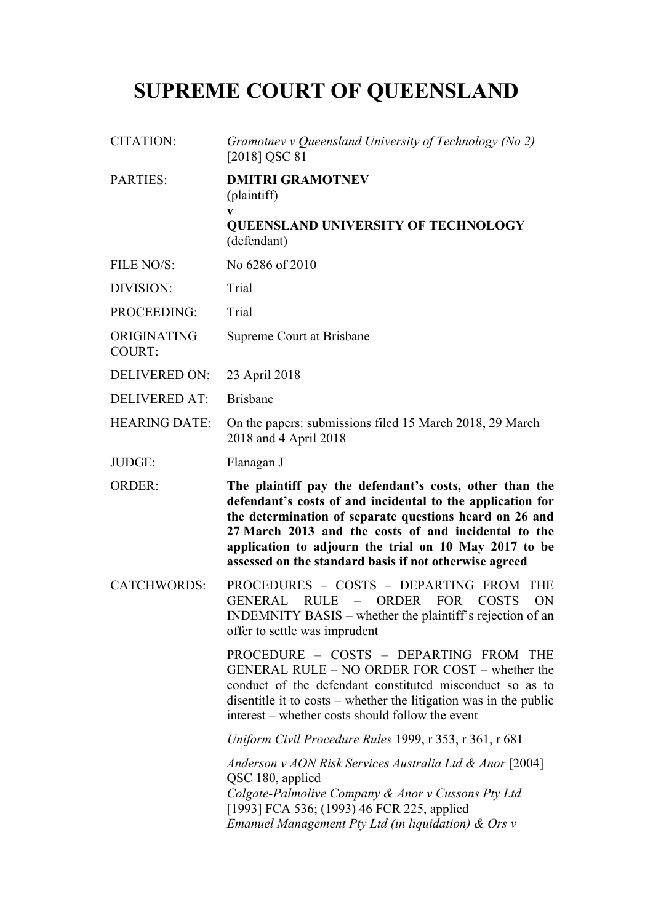# **SUPREME COURT OF QUEENSLAND**

- CITATION: *Gramotnev v Queensland University of Technology (No 2)* [2018] OSC 81
- PARTIES: **DMITRI GRAMOTNEV** (plaintiff) **v QUEENSLAND UNIVERSITY OF TECHNOLOGY** (defendant)
- FILE NO/S: No 6286 of 2010
- DIVISION: Trial
- PROCEEDING: Trial
- ORIGINATING Supreme Court at Brisbane
- COURT:
- DELIVERED ON: 23 April 2018
- DELIVERED AT: Brisbane
- HEARING DATE: On the papers: submissions filed 15 March 2018, 29 March 2018 and 4 April 2018
- JUDGE: Flanagan J
- ORDER: **The plaintiff pay the defendant's costs, other than the defendant's costs of and incidental to the application for the determination of separate questions heard on 26 and 27 March 2013 and the costs of and incidental to the application to adjourn the trial on 10 May 2017 to be assessed on the standard basis if not otherwise agreed**
- CATCHWORDS: PROCEDURES COSTS DEPARTING FROM THE GENERAL RULE – ORDER FOR COSTS ON INDEMNITY BASIS – whether the plaintiff's rejection of an offer to settle was imprudent

PROCEDURE – COSTS – DEPARTING FROM THE GENERAL RULE – NO ORDER FOR COST – whether the conduct of the defendant constituted misconduct so as to disentitle it to costs – whether the litigation was in the public interest – whether costs should follow the event

*Uniform Civil Procedure Rules* 1999, r 353, r 361, r 681

*Anderson v AON Risk Services Australia Ltd & Anor* [2004] QSC 180, applied *Colgate-Palmolive Company & Anor v Cussons Pty Ltd*  [1993] FCA 536; (1993) 46 FCR 225, applied *Emanuel Management Pty Ltd (in liquidation) & Ors v*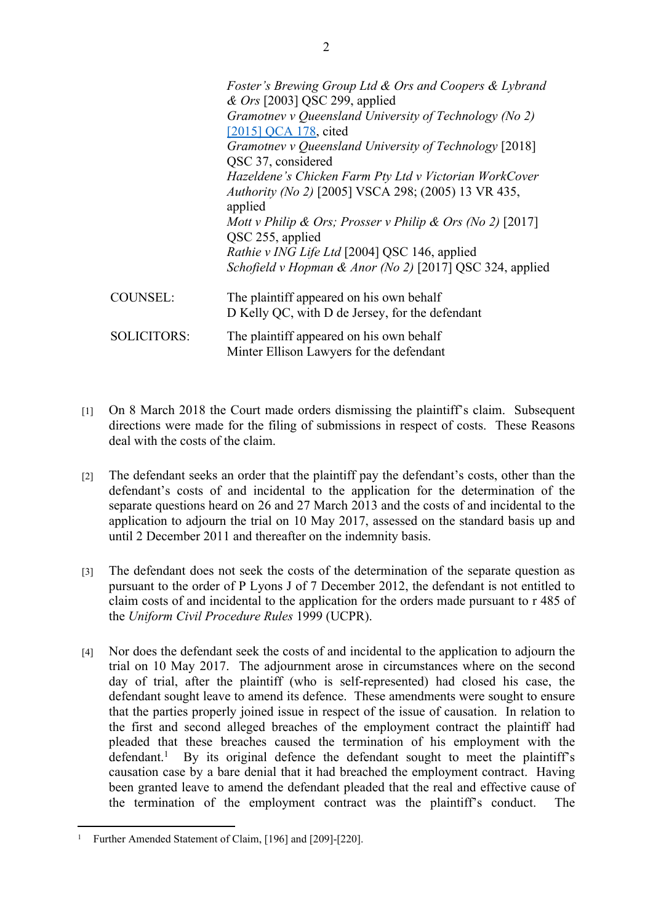|                    | <i>Foster's Brewing Group Ltd &amp; Ors and Coopers &amp; Lybrand</i><br>$& Ors$ [2003] QSC 299, applied<br>Gramotnev v Queensland University of Technology (No 2)<br>[2015] QCA 178, cited<br>Gramotnev v Queensland University of Technology [2018]<br>QSC 37, considered<br>Hazeldene's Chicken Farm Pty Ltd v Victorian WorkCover<br>Authority (No 2) [2005] VSCA 298; (2005) 13 VR 435,<br>applied<br>Mott v Philip & Ors; Prosser v Philip & Ors (No 2) [2017]<br>QSC 255, applied<br><i>Rathie v ING Life Ltd</i> [2004] QSC 146, applied<br>Schofield v Hopman & Anor (No 2) [2017] QSC 324, applied |
|--------------------|--------------------------------------------------------------------------------------------------------------------------------------------------------------------------------------------------------------------------------------------------------------------------------------------------------------------------------------------------------------------------------------------------------------------------------------------------------------------------------------------------------------------------------------------------------------------------------------------------------------|
| <b>COUNSEL:</b>    | The plaintiff appeared on his own behalf<br>D Kelly QC, with D de Jersey, for the defendant                                                                                                                                                                                                                                                                                                                                                                                                                                                                                                                  |
| <b>SOLICITORS:</b> | The plaintiff appeared on his own behalf<br>Minter Ellison Lawyers for the defendant                                                                                                                                                                                                                                                                                                                                                                                                                                                                                                                         |

- [1] On 8 March 2018 the Court made orders dismissing the plaintiff's claim. Subsequent directions were made for the filing of submissions in respect of costs. These Reasons deal with the costs of the claim.
- [2] The defendant seeks an order that the plaintiff pay the defendant's costs, other than the defendant's costs of and incidental to the application for the determination of the separate questions heard on 26 and 27 March 2013 and the costs of and incidental to the application to adjourn the trial on 10 May 2017, assessed on the standard basis up and until 2 December 2011 and thereafter on the indemnity basis.
- [3] The defendant does not seek the costs of the determination of the separate question as pursuant to the order of P Lyons J of 7 December 2012, the defendant is not entitled to claim costs of and incidental to the application for the orders made pursuant to r 485 of the *Uniform Civil Procedure Rules* 1999 (UCPR).
- [4] Nor does the defendant seek the costs of and incidental to the application to adjourn the trial on 10 May 2017. The adjournment arose in circumstances where on the second day of trial, after the plaintiff (who is self-represented) had closed his case, the defendant sought leave to amend its defence. These amendments were sought to ensure that the parties properly joined issue in respect of the issue of causation. In relation to the first and second alleged breaches of the employment contract the plaintiff had pleaded that these breaches caused the termination of his employment with the defendant.<sup>1</sup> By its original defence the defendant sought to meet the plaintiff's causation case by a bare denial that it had breached the employment contract. Having been granted leave to amend the defendant pleaded that the real and effective cause of the termination of the employment contract was the plaintiff's conduct. The

<sup>&</sup>lt;sup>1</sup> Further Amended Statement of Claim, [196] and [209]-[220].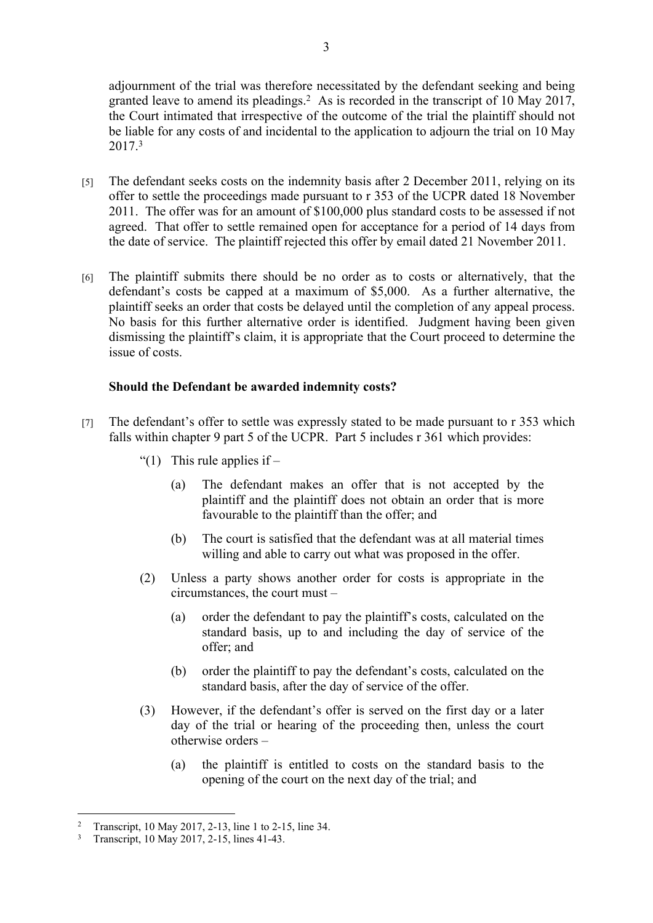adjournment of the trial was therefore necessitated by the defendant seeking and being granted leave to amend its pleadings.<sup>2</sup> As is recorded in the transcript of 10 May 2017, the Court intimated that irrespective of the outcome of the trial the plaintiff should not be liable for any costs of and incidental to the application to adjourn the trial on 10 May 2017.<sup>3</sup>

- [5] The defendant seeks costs on the indemnity basis after 2 December 2011, relying on its offer to settle the proceedings made pursuant to r 353 of the UCPR dated 18 November 2011. The offer was for an amount of \$100,000 plus standard costs to be assessed if not agreed. That offer to settle remained open for acceptance for a period of 14 days from the date of service. The plaintiff rejected this offer by email dated 21 November 2011.
- [6] The plaintiff submits there should be no order as to costs or alternatively, that the defendant's costs be capped at a maximum of \$5,000. As a further alternative, the plaintiff seeks an order that costs be delayed until the completion of any appeal process. No basis for this further alternative order is identified. Judgment having been given dismissing the plaintiff's claim, it is appropriate that the Court proceed to determine the issue of costs.

## **Should the Defendant be awarded indemnity costs?**

- [7] The defendant's offer to settle was expressly stated to be made pursuant to r 353 which falls within chapter 9 part 5 of the UCPR. Part 5 includes r 361 which provides:
	- "(1) This rule applies if  $-$ 
		- (a) The defendant makes an offer that is not accepted by the plaintiff and the plaintiff does not obtain an order that is more favourable to the plaintiff than the offer; and
		- (b) The court is satisfied that the defendant was at all material times willing and able to carry out what was proposed in the offer.
	- (2) Unless a party shows another order for costs is appropriate in the circumstances, the court must –
		- (a) order the defendant to pay the plaintiff's costs, calculated on the standard basis, up to and including the day of service of the offer; and
		- (b) order the plaintiff to pay the defendant's costs, calculated on the standard basis, after the day of service of the offer.
	- (3) However, if the defendant's offer is served on the first day or a later day of the trial or hearing of the proceeding then, unless the court otherwise orders –
		- (a) the plaintiff is entitled to costs on the standard basis to the opening of the court on the next day of the trial; and

<sup>2</sup> Transcript, 10 May 2017, 2-13, line 1 to 2-15, line 34.

<sup>3</sup> Transcript, 10 May 2017, 2-15, lines 41-43.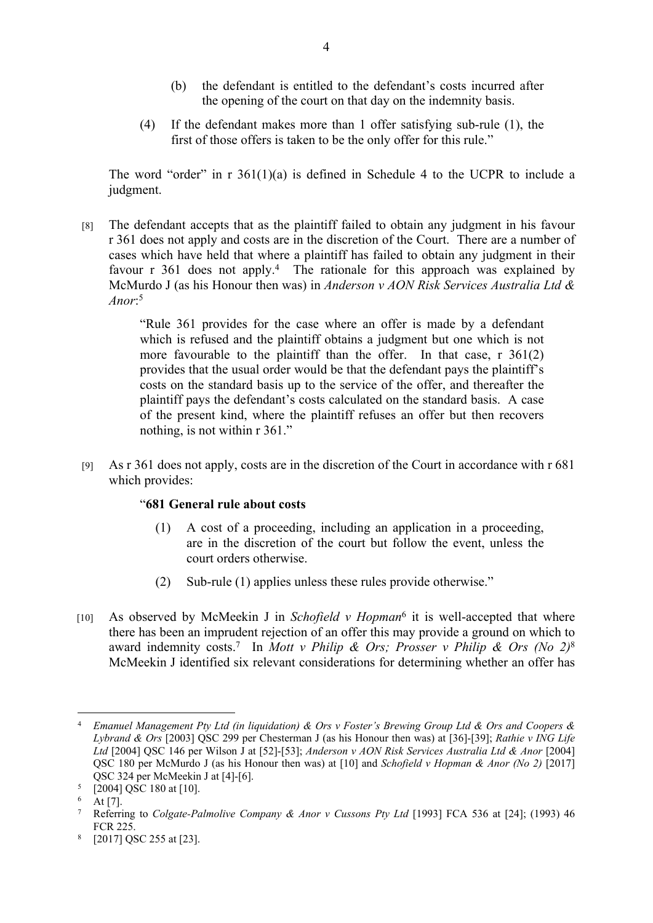- (b) the defendant is entitled to the defendant's costs incurred after the opening of the court on that day on the indemnity basis.
- (4) If the defendant makes more than 1 offer satisfying sub-rule (1), the first of those offers is taken to be the only offer for this rule."

The word "order" in  $r \frac{361(1)(a)}{2}$  is defined in Schedule 4 to the UCPR to include a judgment.

[8] The defendant accepts that as the plaintiff failed to obtain any judgment in his favour r 361 does not apply and costs are in the discretion of the Court. There are a number of cases which have held that where a plaintiff has failed to obtain any judgment in their favour r 361 does not apply.<sup>4</sup> The rationale for this approach was explained by McMurdo J (as his Honour then was) in *Anderson v AON Risk Services Australia Ltd & Anor*: 5

> "Rule 361 provides for the case where an offer is made by a defendant which is refused and the plaintiff obtains a judgment but one which is not more favourable to the plaintiff than the offer. In that case, r  $361(2)$ provides that the usual order would be that the defendant pays the plaintiff's costs on the standard basis up to the service of the offer, and thereafter the plaintiff pays the defendant's costs calculated on the standard basis. A case of the present kind, where the plaintiff refuses an offer but then recovers nothing, is not within r 361."

[9] As r 361 does not apply, costs are in the discretion of the Court in accordance with r 681 which provides:

# "**681 General rule about costs**

- (1) A cost of a proceeding, including an application in a proceeding, are in the discretion of the court but follow the event, unless the court orders otherwise.
- (2) Sub-rule (1) applies unless these rules provide otherwise."
- [10] As observed by McMeekin J in *Schofield v Hopman<sup>6</sup>* it is well-accepted that where there has been an imprudent rejection of an offer this may provide a ground on which to award indemnity costs.<sup>7</sup> In *Mott v Philip & Ors; Prosser v Philip & Ors (No 2)*<sup>8</sup> McMeekin J identified six relevant considerations for determining whether an offer has

<sup>4</sup> *Emanuel Management Pty Ltd (in liquidation) & Ors v Foster's Brewing Group Ltd & Ors and Coopers & Lybrand & Ors* [2003] QSC 299 per Chesterman J (as his Honour then was) at [36]-[39]; *Rathie v ING Life Ltd* [2004] QSC 146 per Wilson J at [52]-[53]; *Anderson v AON Risk Services Australia Ltd & Anor* [2004] QSC 180 per McMurdo J (as his Honour then was) at [10] and *Schofield v Hopman & Anor (No 2)* [2017] QSC 324 per McMeekin J at [4]-[6].

<sup>5</sup> [2004] QSC 180 at [10].

<sup>6</sup> At [7].

<sup>&</sup>lt;sup>7</sup> Referring to *Colgate-Palmolive Company & Anor v Cussons Pty Ltd* [1993] FCA 536 at [24]; (1993) 46 FCR 225.

<sup>8</sup> [2017] QSC 255 at [23].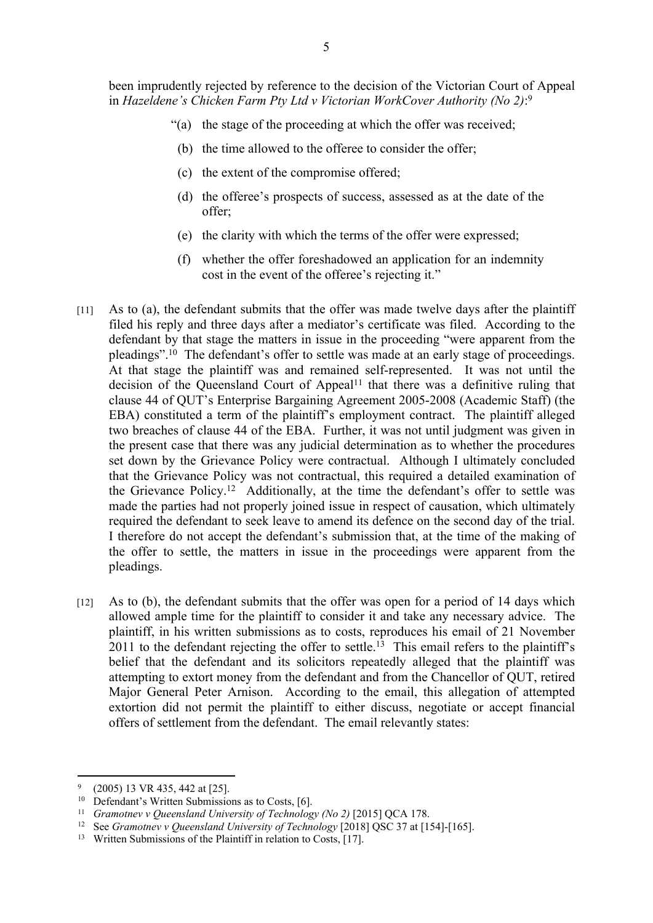been imprudently rejected by reference to the decision of the Victorian Court of Appeal in *Hazeldene's Chicken Farm Pty Ltd v Victorian WorkCover Authority (No 2)*: 9

- "(a) the stage of the proceeding at which the offer was received;
- (b) the time allowed to the offeree to consider the offer;
- (c) the extent of the compromise offered;
- (d) the offeree's prospects of success, assessed as at the date of the offer;
- (e) the clarity with which the terms of the offer were expressed;
- (f) whether the offer foreshadowed an application for an indemnity cost in the event of the offeree's rejecting it."
- [11] As to (a), the defendant submits that the offer was made twelve days after the plaintiff filed his reply and three days after a mediator's certificate was filed. According to the defendant by that stage the matters in issue in the proceeding "were apparent from the pleadings".<sup>10</sup> The defendant's offer to settle was made at an early stage of proceedings. At that stage the plaintiff was and remained self-represented. It was not until the decision of the Queensland Court of Appeal<sup>11</sup> that there was a definitive ruling that clause 44 of QUT's Enterprise Bargaining Agreement 2005-2008 (Academic Staff) (the EBA) constituted a term of the plaintiff's employment contract. The plaintiff alleged two breaches of clause 44 of the EBA. Further, it was not until judgment was given in the present case that there was any judicial determination as to whether the procedures set down by the Grievance Policy were contractual. Although I ultimately concluded that the Grievance Policy was not contractual, this required a detailed examination of the Grievance Policy.<sup>12</sup> Additionally, at the time the defendant's offer to settle was made the parties had not properly joined issue in respect of causation, which ultimately required the defendant to seek leave to amend its defence on the second day of the trial. I therefore do not accept the defendant's submission that, at the time of the making of the offer to settle, the matters in issue in the proceedings were apparent from the pleadings.
- [12] As to (b), the defendant submits that the offer was open for a period of 14 days which allowed ample time for the plaintiff to consider it and take any necessary advice. The plaintiff, in his written submissions as to costs, reproduces his email of 21 November  $2011$  to the defendant rejecting the offer to settle.<sup>13</sup> This email refers to the plaintiff's belief that the defendant and its solicitors repeatedly alleged that the plaintiff was attempting to extort money from the defendant and from the Chancellor of QUT, retired Major General Peter Arnison. According to the email, this allegation of attempted extortion did not permit the plaintiff to either discuss, negotiate or accept financial offers of settlement from the defendant. The email relevantly states:

<sup>9</sup> (2005) 13 VR 435, 442 at [25].

<sup>&</sup>lt;sup>10</sup> Defendant's Written Submissions as to Costs, [6].

<sup>&</sup>lt;sup>11</sup> *Gramotnev v Queensland University of Technology (No 2)* [2015] QCA 178.

<sup>&</sup>lt;sup>12</sup> See *Gramotnev v Queensland University of Technology* [2018] QSC 37 at [154]-[165].

<sup>&</sup>lt;sup>13</sup> Written Submissions of the Plaintiff in relation to Costs, [17].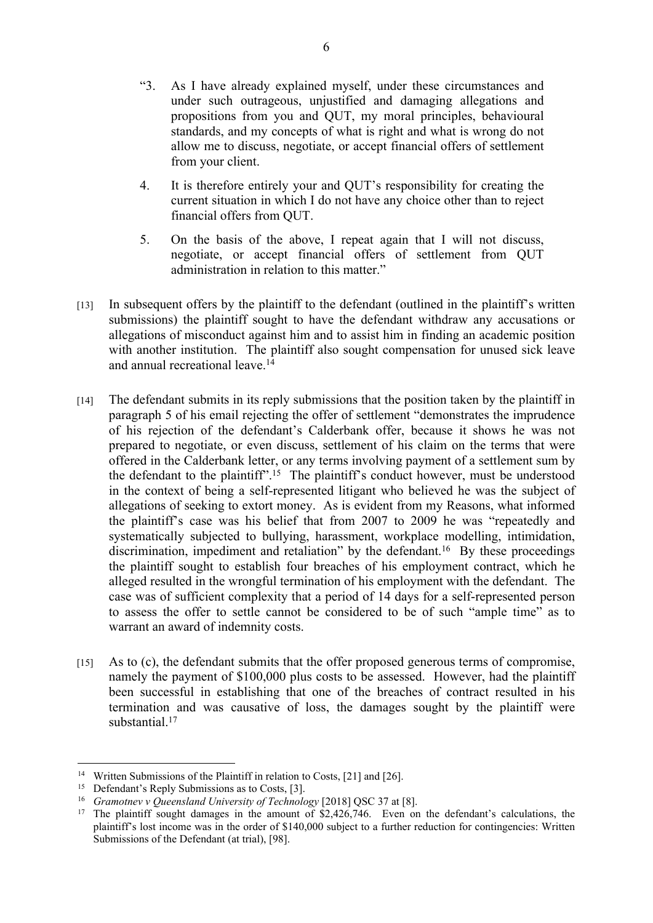- "3. As I have already explained myself, under these circumstances and under such outrageous, unjustified and damaging allegations and propositions from you and QUT, my moral principles, behavioural standards, and my concepts of what is right and what is wrong do not allow me to discuss, negotiate, or accept financial offers of settlement from your client.
- 4. It is therefore entirely your and QUT's responsibility for creating the current situation in which I do not have any choice other than to reject financial offers from QUT.
- 5. On the basis of the above, I repeat again that I will not discuss, negotiate, or accept financial offers of settlement from QUT administration in relation to this matter."
- [13] In subsequent offers by the plaintiff to the defendant (outlined in the plaintiff's written submissions) the plaintiff sought to have the defendant withdraw any accusations or allegations of misconduct against him and to assist him in finding an academic position with another institution. The plaintiff also sought compensation for unused sick leave and annual recreational leave.<sup>14</sup>
- [14] The defendant submits in its reply submissions that the position taken by the plaintiff in paragraph 5 of his email rejecting the offer of settlement "demonstrates the imprudence of his rejection of the defendant's Calderbank offer, because it shows he was not prepared to negotiate, or even discuss, settlement of his claim on the terms that were offered in the Calderbank letter, or any terms involving payment of a settlement sum by the defendant to the plaintiff".<sup>15</sup> The plaintiff's conduct however, must be understood in the context of being a self-represented litigant who believed he was the subject of allegations of seeking to extort money. As is evident from my Reasons, what informed the plaintiff's case was his belief that from 2007 to 2009 he was "repeatedly and systematically subjected to bullying, harassment, workplace modelling, intimidation, discrimination, impediment and retaliation" by the defendant.<sup>16</sup> By these proceedings the plaintiff sought to establish four breaches of his employment contract, which he alleged resulted in the wrongful termination of his employment with the defendant. The case was of sufficient complexity that a period of 14 days for a self-represented person to assess the offer to settle cannot be considered to be of such "ample time" as to warrant an award of indemnity costs.
- [15] As to (c), the defendant submits that the offer proposed generous terms of compromise, namely the payment of \$100,000 plus costs to be assessed. However, had the plaintiff been successful in establishing that one of the breaches of contract resulted in his termination and was causative of loss, the damages sought by the plaintiff were substantial.<sup>17</sup>

<sup>&</sup>lt;sup>14</sup> Written Submissions of the Plaintiff in relation to Costs, [21] and [26].

<sup>15</sup> Defendant's Reply Submissions as to Costs, [3].

<sup>&</sup>lt;sup>16</sup> *Gramotnev v Queensland University of Technology* [2018] QSC 37 at [8].<br><sup>17</sup> The plaintiff sought damages in the amount of \$2,426,746. Even on

The plaintiff sought damages in the amount of \$2,426,746. Even on the defendant's calculations, the plaintiff's lost income was in the order of \$140,000 subject to a further reduction for contingencies: Written Submissions of the Defendant (at trial), [98].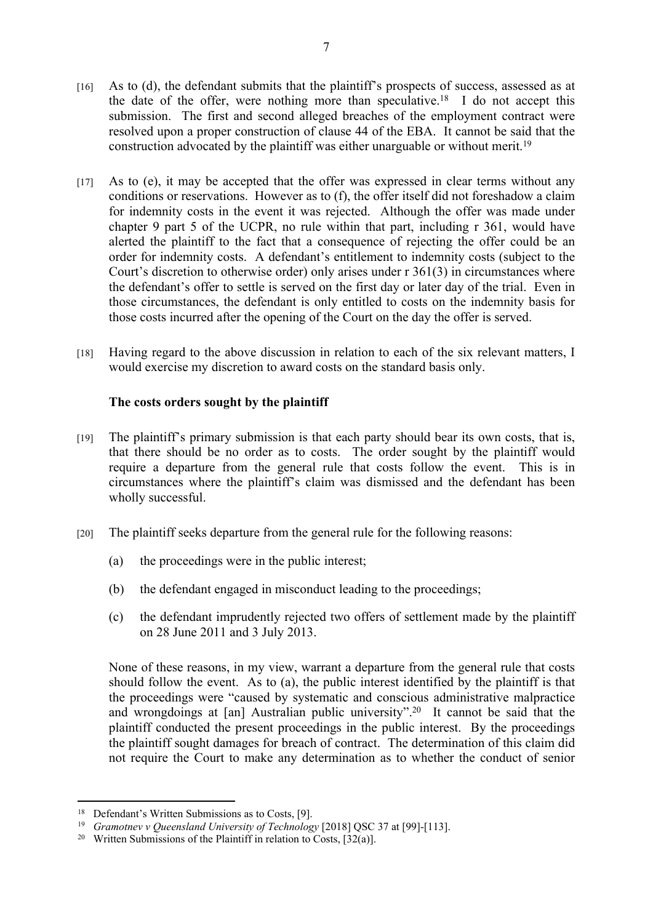- [16] As to (d), the defendant submits that the plaintiff's prospects of success, assessed as at the date of the offer, were nothing more than speculative.<sup>18</sup> I do not accept this submission. The first and second alleged breaches of the employment contract were resolved upon a proper construction of clause 44 of the EBA. It cannot be said that the construction advocated by the plaintiff was either unarguable or without merit.<sup>19</sup>
- [17] As to (e), it may be accepted that the offer was expressed in clear terms without any conditions or reservations. However as to (f), the offer itself did not foreshadow a claim for indemnity costs in the event it was rejected. Although the offer was made under chapter 9 part 5 of the UCPR, no rule within that part, including r 361, would have alerted the plaintiff to the fact that a consequence of rejecting the offer could be an order for indemnity costs. A defendant's entitlement to indemnity costs (subject to the Court's discretion to otherwise order) only arises under r 361(3) in circumstances where the defendant's offer to settle is served on the first day or later day of the trial. Even in those circumstances, the defendant is only entitled to costs on the indemnity basis for those costs incurred after the opening of the Court on the day the offer is served.
- [18] Having regard to the above discussion in relation to each of the six relevant matters, I would exercise my discretion to award costs on the standard basis only.

## **The costs orders sought by the plaintiff**

- [19] The plaintiff's primary submission is that each party should bear its own costs, that is, that there should be no order as to costs. The order sought by the plaintiff would require a departure from the general rule that costs follow the event. This is in circumstances where the plaintiff's claim was dismissed and the defendant has been wholly successful.
- [20] The plaintiff seeks departure from the general rule for the following reasons:
	- (a) the proceedings were in the public interest;
	- (b) the defendant engaged in misconduct leading to the proceedings;
	- (c) the defendant imprudently rejected two offers of settlement made by the plaintiff on 28 June 2011 and 3 July 2013.

None of these reasons, in my view, warrant a departure from the general rule that costs should follow the event. As to (a), the public interest identified by the plaintiff is that the proceedings were "caused by systematic and conscious administrative malpractice and wrongdoings at [an] Australian public university".<sup>20</sup> It cannot be said that the plaintiff conducted the present proceedings in the public interest. By the proceedings the plaintiff sought damages for breach of contract. The determination of this claim did not require the Court to make any determination as to whether the conduct of senior

<sup>18</sup> Defendant's Written Submissions as to Costs, [9].

<sup>&</sup>lt;sup>19</sup> *Gramotnev v Queensland University of Technology* [2018] QSC 37 at [99]-[113].

<sup>&</sup>lt;sup>20</sup> Written Submissions of the Plaintiff in relation to Costs,  $[32(a)]$ .